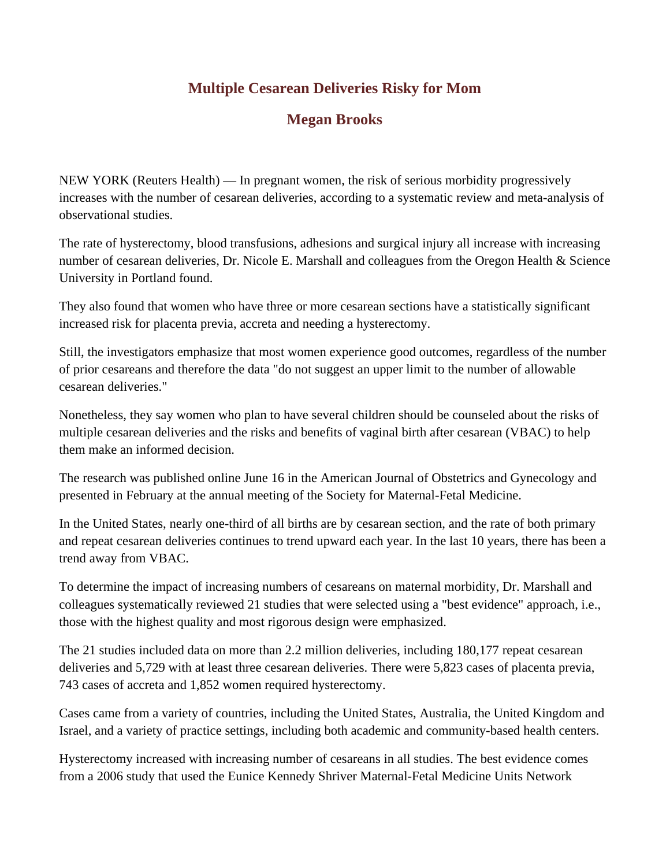## **Multiple Cesarean Deliveries Risky for Mom**

## **Megan Brooks**

NEW YORK (Reuters Health) — In pregnant women, the risk of serious morbidity progressively increases with the number of cesarean deliveries, according to a systematic review and meta-analysis of observational studies.

The rate of hysterectomy, blood transfusions, adhesions and surgical injury all increase with increasing number of cesarean deliveries, Dr. Nicole E. Marshall and colleagues from the Oregon Health & Science University in Portland found.

They also found that women who have three or more cesarean sections have a statistically significant increased risk for placenta previa, accreta and needing a hysterectomy.

Still, the investigators emphasize that most women experience good outcomes, regardless of the number of prior cesareans and therefore the data "do not suggest an upper limit to the number of allowable cesarean deliveries."

Nonetheless, they say women who plan to have several children should be counseled about the risks of multiple cesarean deliveries and the risks and benefits of vaginal birth after cesarean (VBAC) to help them make an informed decision.

The research was published online June 16 in the American Journal of Obstetrics and Gynecology and presented in February at the annual meeting of the Society for Maternal-Fetal Medicine.

In the United States, nearly one-third of all births are by cesarean section, and the rate of both primary and repeat cesarean deliveries continues to trend upward each year. In the last 10 years, there has been a trend away from VBAC.

To determine the impact of increasing numbers of cesareans on maternal morbidity, Dr. Marshall and colleagues systematically reviewed 21 studies that were selected using a "best evidence" approach, i.e., those with the highest quality and most rigorous design were emphasized.

The 21 studies included data on more than 2.2 million deliveries, including 180,177 repeat cesarean deliveries and 5,729 with at least three cesarean deliveries. There were 5,823 cases of placenta previa, 743 cases of accreta and 1,852 women required hysterectomy.

Cases came from a variety of countries, including the United States, Australia, the United Kingdom and Israel, and a variety of practice settings, including both academic and community-based health centers.

Hysterectomy increased with increasing number of cesareans in all studies. The best evidence comes from a 2006 study that used the Eunice Kennedy Shriver Maternal-Fetal Medicine Units Network